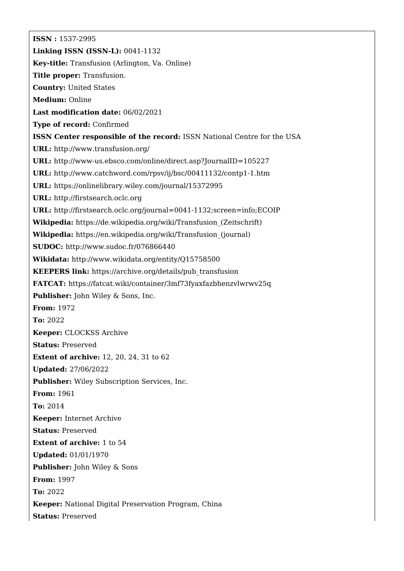**ISSN :** 1537-2995 **Linking ISSN (ISSN-L):** 0041-1132 **Key-title:** Transfusion (Arlington, Va. Online) **Title proper:** Transfusion. **Country:** United States **Medium:** Online **Last modification date:** 06/02/2021 **Type of record:** Confirmed **ISSN Center responsible of the record:** ISSN National Centre for the USA **URL:** <http://www.transfusion.org/> **URL:** <http://www-us.ebsco.com/online/direct.asp?JournalID=105227> **URL:** <http://www.catchword.com/rpsv/ij/bsc/00411132/contp1-1.htm> **URL:** <https://onlinelibrary.wiley.com/journal/15372995> **URL:** <http://firstsearch.oclc.org> **URL:** <http://firstsearch.oclc.org/journal=0041-1132;screen=info;ECOIP> **Wikipedia:** [https://de.wikipedia.org/wiki/Transfusion\\_\(Zeitschrift\)](https://de.wikipedia.org/wiki/Transfusion_(Zeitschrift)) **Wikipedia:** [https://en.wikipedia.org/wiki/Transfusion\\_\(journal\)](https://en.wikipedia.org/wiki/Transfusion_(journal)) **SUDOC:** <http://www.sudoc.fr/076866440> **Wikidata:** <http://www.wikidata.org/entity/Q15758500> **KEEPERS link:** [https://archive.org/details/pub\\_transfusion](https://archive.org/details/pub_transfusion) **FATCAT:** <https://fatcat.wiki/container/3mf73fyaxfazbhenzvlwrwv25q> **Publisher:** John Wiley & Sons, Inc. **From:** 1972 **To:** 2022 **Keeper:** CLOCKSS Archive **Status:** Preserved **Extent of archive:** 12, 20, 24, 31 to 62 **Updated:** 27/06/2022 **Publisher:** Wiley Subscription Services, Inc. **From:** 1961 **To:** 2014 **Keeper:** Internet Archive **Status:** Preserved **Extent of archive:** 1 to 54 **Updated:** 01/01/1970 **Publisher:** John Wiley & Sons **From:** 1997 **To:** 2022 **Keeper:** National Digital Preservation Program, China **Status:** Preserved